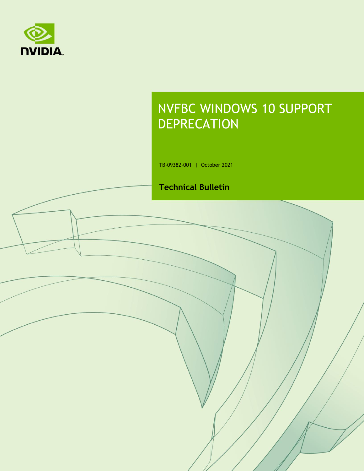

# NVFBC WINDOWS 10 SUPPORT **DEPRECATION**

TB-09382-001 | October 2021

#### **Technical Bulletin**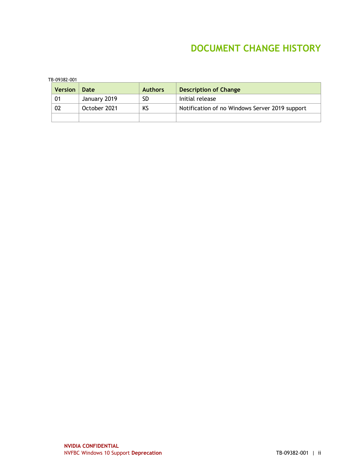### **DOCUMENT CHANGE HISTORY**

| TB-09382-001 |  |
|--------------|--|
|              |  |

| <b>Version</b> | Date         | <b>Authors</b> | Description of Change                          |
|----------------|--------------|----------------|------------------------------------------------|
| 01             | January 2019 | <b>SD</b>      | Initial release                                |
| 02             | October 2021 | κs             | Notification of no Windows Server 2019 support |
|                |              |                |                                                |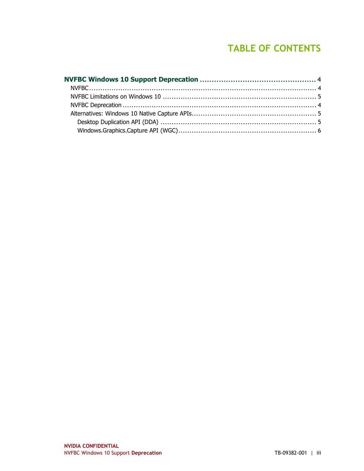## **TABLE OF CONTENTS**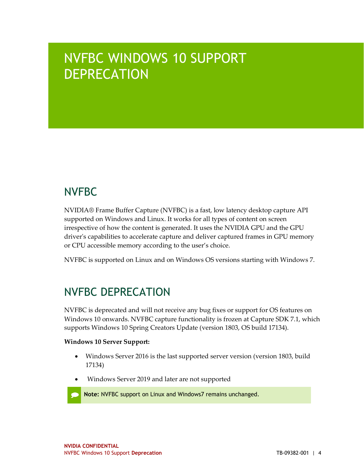# NVFBC WINDOWS 10 SUPPORT **DEPRECATION**

# **NVFBC**

NVIDIA® Frame Buffer Capture (NVFBC) is a fast, low latency desktop capture API supported on Windows and Linux. It works for all types of content on screen irrespective of how the content is generated. It uses the NVIDIA GPU and the GPU driver's capabilities to accelerate capture and deliver captured frames in GPU memory or CPU accessible memory according to the user's choice.

NVFBC is supported on Linux and on Windows OS versions starting with Windows 7.

# NVFBC DEPRECATION

NVFBC is deprecated and will not receive any bug fixes or support for OS features on Windows 10 onwards. NVFBC capture functionality is frozen at Capture SDK 7.1, which supports Windows 10 Spring Creators Update (version 1803, OS build 17134).

#### **Windows 10 Server Support:**

- Windows Server 2016 is the last supported server version (version 1803, build 17134)
- Windows Server 2019 and later are not supported

**Note:** NVFBC support on Linux and Windows7 remains unchanged.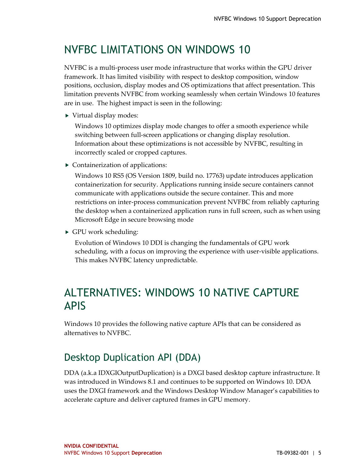# NVFBC LIMITATIONS ON WINDOWS 10

NVFBC is a multi-process user mode infrastructure that works within the GPU driver framework. It has limited visibility with respect to desktop composition, window positions, occlusion, display modes and OS optimizations that affect presentation. This limitation prevents NVFBC from working seamlessly when certain Windows 10 features are in use. The highest impact is seen in the following:

▶ Virtual display modes:

Windows 10 optimizes display mode changes to offer a smooth experience while switching between full-screen applications or changing display resolution. Information about these optimizations is not accessible by NVFBC, resulting in incorrectly scaled or cropped captures.

▶ Containerization of applications:

Windows 10 RS5 (OS Version 1809, build no. 17763) update introduces application containerization for security. Applications running inside secure containers cannot communicate with applications outside the secure container. This and more restrictions on inter-process communication prevent NVFBC from reliably capturing the desktop when a containerized application runs in full screen, such as when using Microsoft Edge in secure browsing mode

GPU work scheduling:

Evolution of Windows 10 DDI is changing the fundamentals of GPU work scheduling, with a focus on improving the experience with user-visible applications. This makes NVFBC latency unpredictable.

## ALTERNATIVES: WINDOWS 10 NATIVE CAPTURE APIS

Windows 10 provides the following native capture APIs that can be considered as alternatives to NVFBC.

### Desktop Duplication API (DDA)

DDA (a.k.a IDXGIOutputDuplication) is a DXGI based desktop capture infrastructure. It was introduced in Windows 8.1 and continues to be supported on Windows 10. DDA uses the DXGI framework and the Windows Desktop Window Manager's capabilities to accelerate capture and deliver captured frames in GPU memory.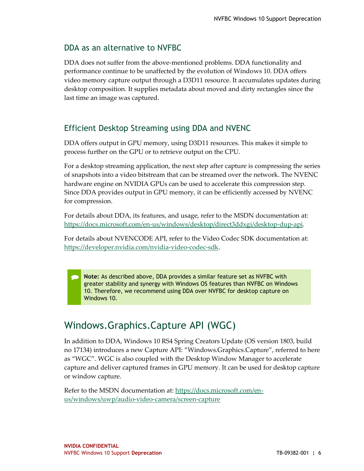#### DDA as an alternative to NVFBC

DDA does not suffer from the above-mentioned problems. DDA functionality and performance continue to be unaffected by the evolution of Windows 10. DDA offers video memory capture output through a D3D11 resource. It accumulates updates during desktop composition. It supplies metadata about moved and dirty rectangles since the last time an image was captured.

#### Efficient Desktop Streaming using DDA and NVENC

DDA offers output in GPU memory, using D3D11 resources. This makes it simple to process further on the GPU or to retrieve output on the CPU.

For a desktop streaming application, the next step after capture is compressing the series of snapshots into a video bitstream that can be streamed over the network. The NVENC hardware engine on NVIDIA GPUs can be used to accelerate this compression step. Since DDA provides output in GPU memory, it can be efficiently accessed by NVENC for compression.

For details about DDA, its features, and usage, refer to the MSDN documentation at: [https://docs.microsoft.com/en-us/windows/desktop/direct3ddxgi/desktop-dup-api.](https://docs.microsoft.com/en-us/windows/desktop/direct3ddxgi/desktop-dup-api)

For details about NVENCODE API, refer to the Video Codec SDK documentation at: [https://developer.nvidia.com/nvidia-video-codec-sdk.](https://developer.nvidia.com/nvidia-video-codec-sdk)

**Note:** As described above, DDA provides a similar feature set as NVFBC with greater stability and synergy with Windows OS features than NVFBC on Windows 10. Therefore, we recommend using DDA over NVFBC for desktop capture on Windows 10.

#### Windows.Graphics.Capture API (WGC)

In addition to DDA, Windows 10 RS4 Spring Creators Update (OS version 1803, build no 17134) introduces a new Capture API: "Windows.Graphics.Capture", referred to here as "WGC". WGC is also coupled with the Desktop Window Manager to accelerate capture and deliver captured frames in GPU memory. It can be used for desktop capture or window capture.

Refer to the MSDN documentation at: [https://docs.microsoft.com/en](https://docs.microsoft.com/en-us/windows/uwp/audio-video-camera/screen-capture)[us/windows/uwp/audio-video-camera/screen-capture](https://docs.microsoft.com/en-us/windows/uwp/audio-video-camera/screen-capture)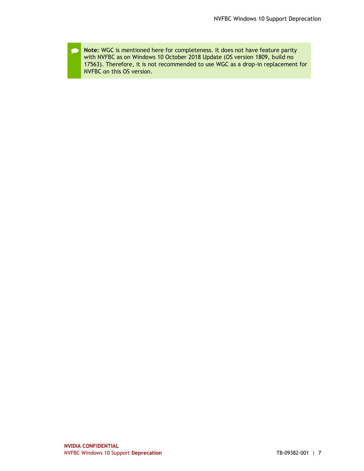**Note:** WGC is mentioned here for completeness. It does not have feature parity £ with NVFBC as on Windows 10 October 2018 Update (OS version 1809, build no 17563). Therefore, it is not recommended to use WGC as a drop-in replacement for NVFBC on this OS version.